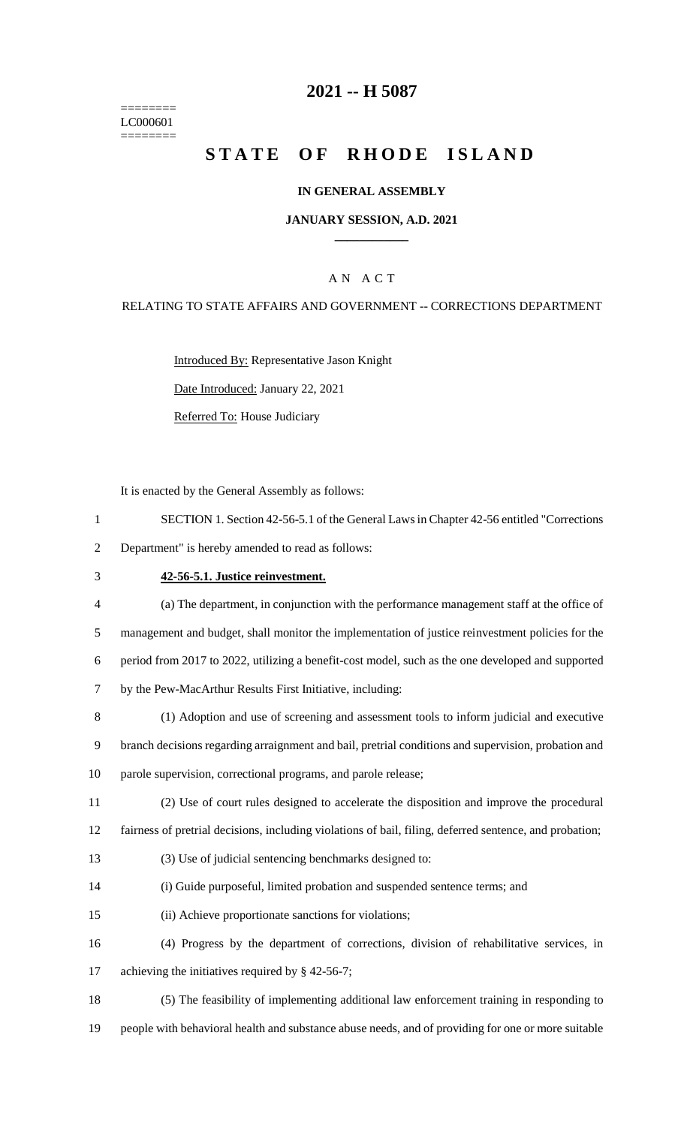======== LC000601 ========

### **2021 -- H 5087**

# **STATE OF RHODE ISLAND**

#### **IN GENERAL ASSEMBLY**

#### **JANUARY SESSION, A.D. 2021 \_\_\_\_\_\_\_\_\_\_\_\_**

#### A N A C T

#### RELATING TO STATE AFFAIRS AND GOVERNMENT -- CORRECTIONS DEPARTMENT

Introduced By: Representative Jason Knight Date Introduced: January 22, 2021

Referred To: House Judiciary

It is enacted by the General Assembly as follows:

- 1 SECTION 1. Section 42-56-5.1 of the General Laws in Chapter 42-56 entitled "Corrections 2 Department" is hereby amended to read as follows:
- 

#### 3 **42-56-5.1. Justice reinvestment.**

- 4 (a) The department, in conjunction with the performance management staff at the office of 5 management and budget, shall monitor the implementation of justice reinvestment policies for the 6 period from 2017 to 2022, utilizing a benefit-cost model, such as the one developed and supported 7 by the Pew-MacArthur Results First Initiative, including:
- 8 (1) Adoption and use of screening and assessment tools to inform judicial and executive 9 branch decisions regarding arraignment and bail, pretrial conditions and supervision, probation and 10 parole supervision, correctional programs, and parole release;
- 11 (2) Use of court rules designed to accelerate the disposition and improve the procedural

12 fairness of pretrial decisions, including violations of bail, filing, deferred sentence, and probation;

- 13 (3) Use of judicial sentencing benchmarks designed to:
- 14 (i) Guide purposeful, limited probation and suspended sentence terms; and
- 15 (ii) Achieve proportionate sanctions for violations;
- 16 (4) Progress by the department of corrections, division of rehabilitative services, in 17 achieving the initiatives required by § 42-56-7;
- 18 (5) The feasibility of implementing additional law enforcement training in responding to 19 people with behavioral health and substance abuse needs, and of providing for one or more suitable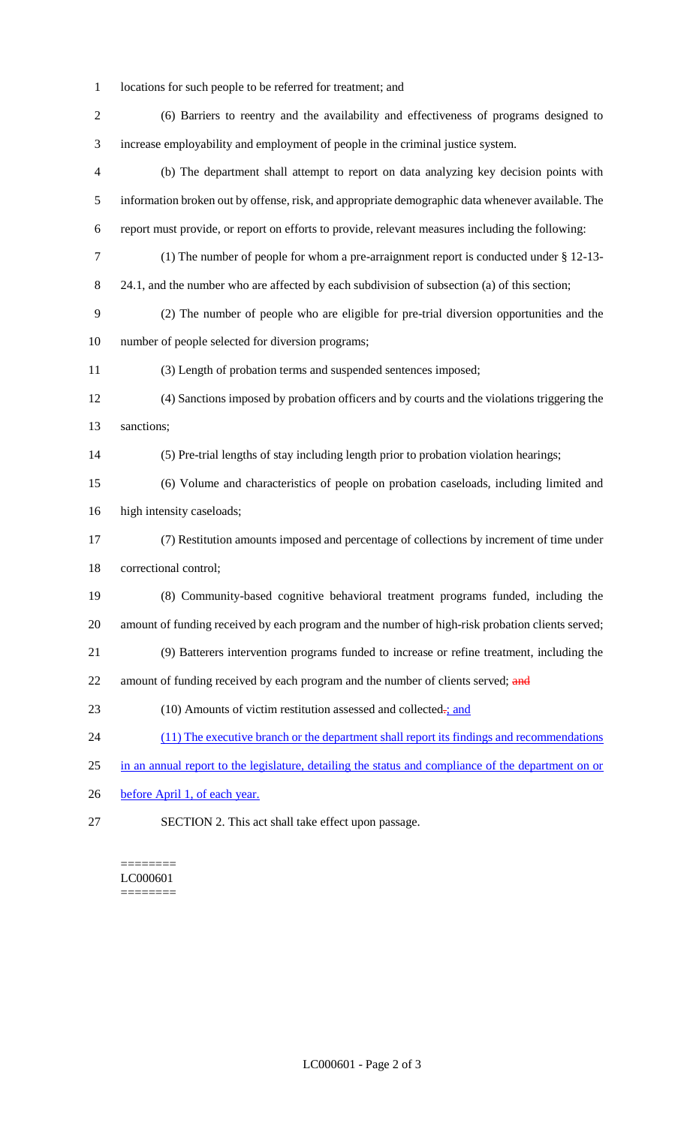- locations for such people to be referred for treatment; and
- (6) Barriers to reentry and the availability and effectiveness of programs designed to increase employability and employment of people in the criminal justice system. (b) The department shall attempt to report on data analyzing key decision points with information broken out by offense, risk, and appropriate demographic data whenever available. The report must provide, or report on efforts to provide, relevant measures including the following: (1) The number of people for whom a pre-arraignment report is conducted under § 12-13- 8 24.1, and the number who are affected by each subdivision of subsection (a) of this section; (2) The number of people who are eligible for pre-trial diversion opportunities and the number of people selected for diversion programs; (3) Length of probation terms and suspended sentences imposed; (4) Sanctions imposed by probation officers and by courts and the violations triggering the sanctions; (5) Pre-trial lengths of stay including length prior to probation violation hearings; (6) Volume and characteristics of people on probation caseloads, including limited and high intensity caseloads; (7) Restitution amounts imposed and percentage of collections by increment of time under correctional control; (8) Community-based cognitive behavioral treatment programs funded, including the amount of funding received by each program and the number of high-risk probation clients served; (9) Batterers intervention programs funded to increase or refine treatment, including the 22 amount of funding received by each program and the number of clients served; and 23 (10) Amounts of victim restitution assessed and collected-; and 24 (11) The executive branch or the department shall report its findings and recommendations in an annual report to the legislature, detailing the status and compliance of the department on or 26 before April 1, of each year. SECTION 2. This act shall take effect upon passage.

======== LC000601 ========